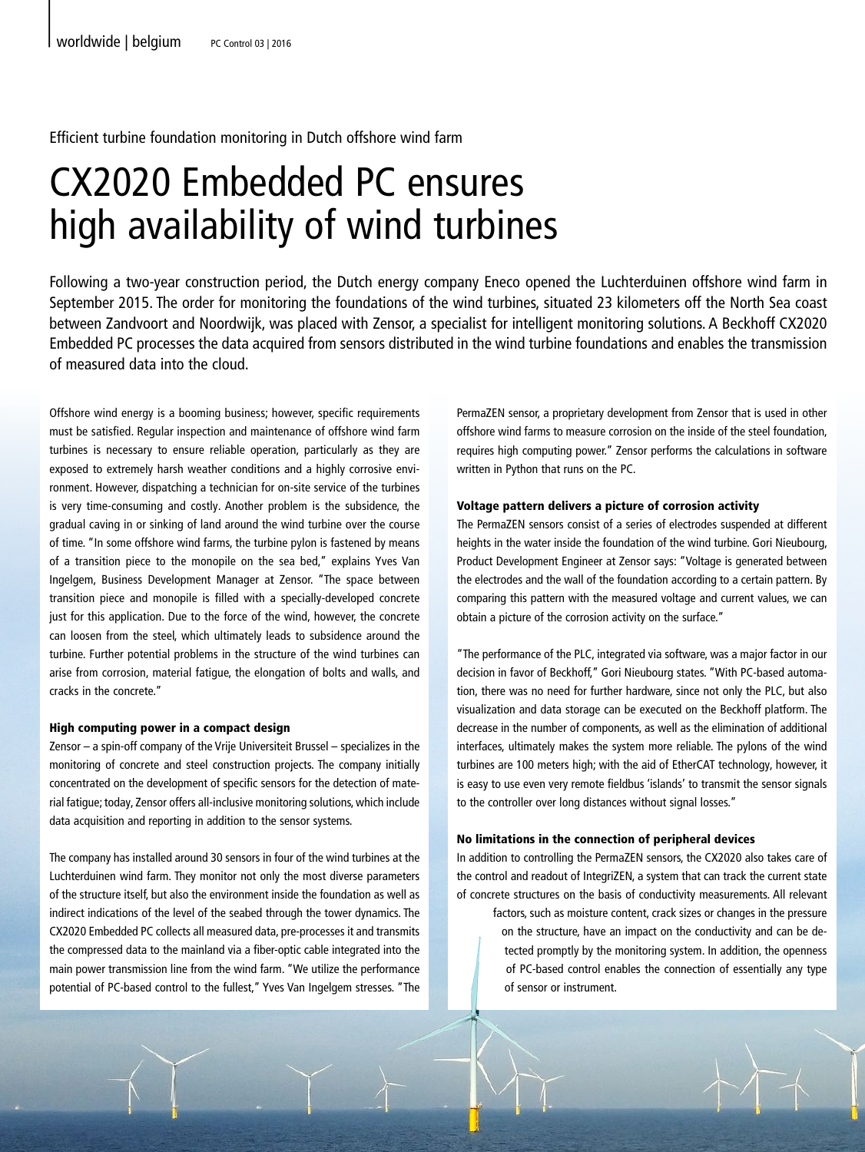Efficient turbine foundation monitoring in Dutch offshore wind farm

# CX2020 Embedded PC ensures high availability of wind turbines

Following a two-year construction period, the Dutch energy company Eneco opened the Luchterduinen offshore wind farm in September 2015. The order for monitoring the foundations of the wind turbines, situated 23 kilometers off the North Sea coast between Zandvoort and Noordwijk, was placed with Zensor, a specialist for intelligent monitoring solutions. A Beckhoff CX2020 Embedded PC processes the data acquired from sensors distributed in the wind turbine foundations and enables the transmission of measured data into the cloud.

Offshore wind energy is a booming business; however, specific requirements must be satisfied. Regular inspection and maintenance of offshore wind farm turbines is necessary to ensure reliable operation, particularly as they are exposed to extremely harsh weather conditions and a highly corrosive environment. However, dispatching a technician for on-site service of the turbines is very time-consuming and costly. Another problem is the subsidence, the gradual caving in or sinking of land around the wind turbine over the course of time. "In some offshore wind farms, the turbine pylon is fastened by means of a transition piece to the monopile on the sea bed," explains Yves Van Ingelgem, Business Development Manager at Zensor. "The space between transition piece and monopile is filled with a specially-developed concrete just for this application. Due to the force of the wind, however, the concrete can loosen from the steel, which ultimately leads to subsidence around the turbine. Further potential problems in the structure of the wind turbines can arise from corrosion, material fatigue, the elongation of bolts and walls, and cracks in the concrete."

### High computing power in a compact design

Zensor – a spin-off company of the Vrije Universiteit Brussel – specializes in the monitoring of concrete and steel construction projects. The company initially concentrated on the development of specific sensors for the detection of material fatigue; today, Zensor offers all-inclusive monitoring solutions, which include data acquisition and reporting in addition to the sensor systems.

The company has installed around 30 sensors in four of the wind turbines at the Luchterduinen wind farm. They monitor not only the most diverse parameters of the structure itself, but also the environment inside the foundation as well as indirect indications of the level of the seabed through the tower dynamics. The CX2020 Embedded PC collects all measured data, pre-processes it and transmits the compressed data to the mainland via a fiber-optic cable integrated into the main power transmission line from the wind farm. "We utilize the performance potential of PC-based control to the fullest," Yves Van Ingelgem stresses. "The PermaZEN sensor, a proprietary development from Zensor that is used in other offshore wind farms to measure corrosion on the inside of the steel foundation, requires high computing power." Zensor performs the calculations in software written in Python that runs on the PC.

#### Voltage pattern delivers a picture of corrosion activity

The PermaZEN sensors consist of a series of electrodes suspended at different heights in the water inside the foundation of the wind turbine. Gori Nieubourg, Product Development Engineer at Zensor says: "Voltage is generated between the electrodes and the wall of the foundation according to a certain pattern. By comparing this pattern with the measured voltage and current values, we can obtain a picture of the corrosion activity on the surface."

"The performance of the PLC, integrated via software, was a major factor in our decision in favor of Beckhoff," Gori Nieubourg states. "With PC-based automation, there was no need for further hardware, since not only the PLC, but also visualization and data storage can be executed on the Beckhoff platform. The decrease in the number of components, as well as the elimination of additional interfaces, ultimately makes the system more reliable. The pylons of the wind turbines are 100 meters high; with the aid of EtherCAT technology, however, it is easy to use even very remote fieldbus 'islands' to transmit the sensor signals to the controller over long distances without signal losses."

#### No limitations in the connection of peripheral devices

In addition to controlling the PermaZEN sensors, the CX2020 also takes care of the control and readout of IntegriZEN, a system that can track the current state of concrete structures on the basis of conductivity measurements. All relevant

factors, such as moisture content, crack sizes or changes in the pressure on the structure, have an impact on the conductivity and can be detected promptly by the monitoring system. In addition, the openness of PC-based control enables the connection of essentially any type of sensor or instrument.